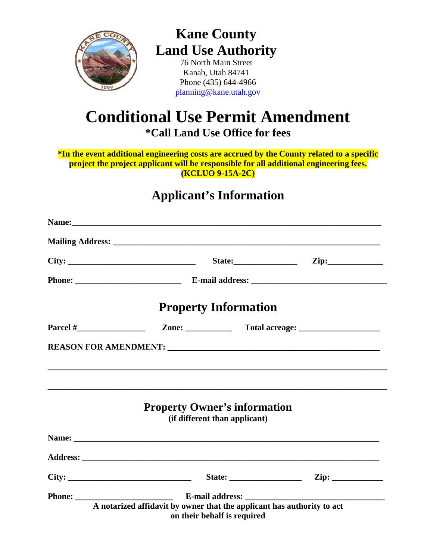

# **Kane County Land Use Authority**

76 North Main Street Kanab, Utah 84741 Phone (435) 644-4966 [planning@kane.utah.gov](mailto:planning@kane.utah.gov)

# **Conditional Use Permit Amendment \*Call Land Use Office for fees**

**\*In the event additional engineering costs are accrued by the County related to a specific project the project applicant will be responsible for all additional engineering fees. (KCLUO 9-15A-2C)**

# **Applicant's Information**

|  |                                                                      | State: $\qquad \qquad \text{Zip:} \qquad \qquad$                       |  |
|--|----------------------------------------------------------------------|------------------------------------------------------------------------|--|
|  |                                                                      |                                                                        |  |
|  | <b>Property Information</b>                                          |                                                                        |  |
|  |                                                                      |                                                                        |  |
|  |                                                                      |                                                                        |  |
|  |                                                                      |                                                                        |  |
|  |                                                                      |                                                                        |  |
|  | <b>Property Owner's information</b><br>(if different than applicant) |                                                                        |  |
|  |                                                                      |                                                                        |  |
|  |                                                                      |                                                                        |  |
|  |                                                                      |                                                                        |  |
|  |                                                                      |                                                                        |  |
|  | on their behalf is required                                          | A notarized affidavit by owner that the applicant has authority to act |  |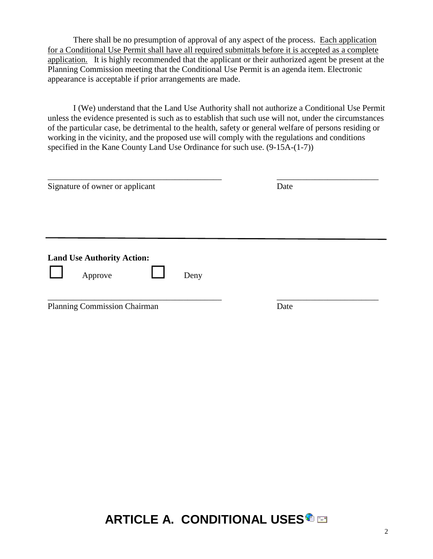There shall be no presumption of approval of any aspect of the process. Each application for a Conditional Use Permit shall have all required submittals before it is accepted as a complete application. It is highly recommended that the applicant or their authorized agent be present at the Planning Commission meeting that the Conditional Use Permit is an agenda item. Electronic appearance is acceptable if prior arrangements are made.

I (We) understand that the Land Use Authority shall not authorize a Conditional Use Permit unless the evidence presented is such as to establish that such use will not, under the circumstances of the particular case, be detrimental to the health, safety or general welfare of persons residing or working in the vicinity, and the proposed use will comply with the regulations and conditions specified in the Kane County Land Use Ordinance for such use. (9-15A-(1-7))

| Signature of owner or applicant                      | Date |  |
|------------------------------------------------------|------|--|
|                                                      |      |  |
| <b>Land Use Authority Action:</b><br>Deny<br>Approve |      |  |
| Planning Commission Chairman                         | Date |  |

## **ARTICLE A. CONDITIONAL U[S](https://www.sterlingcodifiers.com/codebook/getBookData.php?id=&chapter_id=84030&keywords=#84030)ES<sup>®</sup>**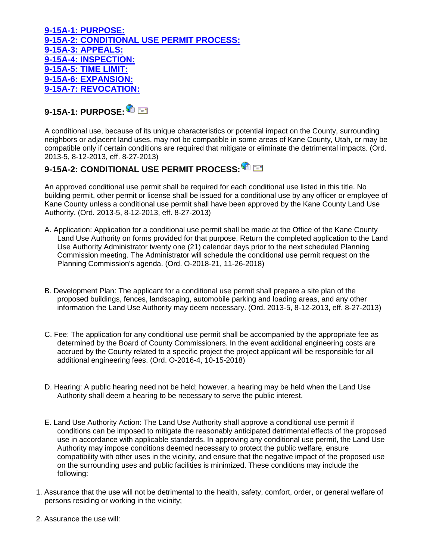**[9-15A-1: PURPOSE:](https://www.sterlingcodifiers.com/codebook/getBookData.php?id=&chapter_id=84030&keywords=#s1317835) [9-15A-2: CONDITIONAL USE PERMIT PROCESS:](https://www.sterlingcodifiers.com/codebook/getBookData.php?id=&chapter_id=84030&keywords=#s1317836) [9-15A-3: APPEALS:](https://www.sterlingcodifiers.com/codebook/getBookData.php?id=&chapter_id=84030&keywords=#s1317837) [9-15A-4: INSPECTION:](https://www.sterlingcodifiers.com/codebook/getBookData.php?id=&chapter_id=84030&keywords=#s1317838) [9-15A-5: TIME LIMIT:](https://www.sterlingcodifiers.com/codebook/getBookData.php?id=&chapter_id=84030&keywords=#s1317839) [9-15A-6: EXPANSION:](https://www.sterlingcodifiers.com/codebook/getBookData.php?id=&chapter_id=84030&keywords=#s1317840) [9-15A-7: REVOCATION:](https://www.sterlingcodifiers.com/codebook/getBookData.php?id=&chapter_id=84030&keywords=#s1317841)**

#### **9-15A-1: PURPOSE[:](https://www.sterlingcodifiers.com/codebook/getBookData.php?id=&chapter_id=84030&keywords=#1317835)**

A conditional use, because of its unique characteristics or potential impact on the County, surrounding neighbors or adjacent land uses, may not be compatible in some areas of Kane County, Utah, or may be compatible only if certain conditions are required that mitigate or eliminate the detrimental impacts. (Ord. 2013-5, 8-12-2013, eff. 8-27-2013)

### **9-15A-2: CONDITIONAL USE PERMIT PROCESS:**

An approved conditional use permit shall be required for each conditional use listed in this title. No building permit, other permit or license shall be issued for a conditional use by any officer or employee of Kane County unless a conditional use permit shall have been approved by the Kane County Land Use Authority. (Ord. 2013-5, 8-12-2013, eff. 8-27-2013)

- A. Application: Application for a conditional use permit shall be made at the Office of the Kane County Land Use Authority on forms provided for that purpose. Return the completed application to the Land Use Authority Administrator twenty one (21) calendar days prior to the next scheduled Planning Commission meeting. The Administrator will schedule the conditional use permit request on the Planning Commission's agenda. (Ord. O-2018-21, 11-26-2018)
- B. Development Plan: The applicant for a conditional use permit shall prepare a site plan of the proposed buildings, fences, landscaping, automobile parking and loading areas, and any other information the Land Use Authority may deem necessary. (Ord. 2013-5, 8-12-2013, eff. 8-27-2013)
- C. Fee: The application for any conditional use permit shall be accompanied by the appropriate fee as determined by the Board of County Commissioners. In the event additional engineering costs are accrued by the County related to a specific project the project applicant will be responsible for all additional engineering fees. (Ord. O-2016-4, 10-15-2018)
- D. Hearing: A public hearing need not be held; however, a hearing may be held when the Land Use Authority shall deem a hearing to be necessary to serve the public interest.
- E. Land Use Authority Action: The Land Use Authority shall approve a conditional use permit if conditions can be imposed to mitigate the reasonably anticipated detrimental effects of the proposed use in accordance with applicable standards. In approving any conditional use permit, the Land Use Authority may impose conditions deemed necessary to protect the public welfare, ensure compatibility with other uses in the vicinity, and ensure that the negative impact of the proposed use on the surrounding uses and public facilities is minimized. These conditions may include the following:
- 1. Assurance that the use will not be detrimental to the health, safety, comfort, order, or general welfare of persons residing or working in the vicinity;
- 2. Assurance the use will: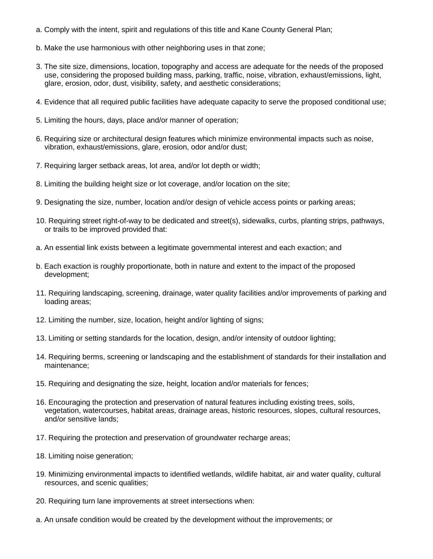- a. Comply with the intent, spirit and regulations of this title and Kane County General Plan;
- b. Make the use harmonious with other neighboring uses in that zone;
- 3. The site size, dimensions, location, topography and access are adequate for the needs of the proposed use, considering the proposed building mass, parking, traffic, noise, vibration, exhaust/emissions, light, glare, erosion, odor, dust, visibility, safety, and aesthetic considerations;
- 4. Evidence that all required public facilities have adequate capacity to serve the proposed conditional use;
- 5. Limiting the hours, days, place and/or manner of operation;
- 6. Requiring size or architectural design features which minimize environmental impacts such as noise, vibration, exhaust/emissions, glare, erosion, odor and/or dust;
- 7. Requiring larger setback areas, lot area, and/or lot depth or width;
- 8. Limiting the building height size or lot coverage, and/or location on the site;
- 9. Designating the size, number, location and/or design of vehicle access points or parking areas;
- 10. Requiring street right-of-way to be dedicated and street(s), sidewalks, curbs, planting strips, pathways, or trails to be improved provided that:
- a. An essential link exists between a legitimate governmental interest and each exaction; and
- b. Each exaction is roughly proportionate, both in nature and extent to the impact of the proposed development;
- 11. Requiring landscaping, screening, drainage, water quality facilities and/or improvements of parking and loading areas;
- 12. Limiting the number, size, location, height and/or lighting of signs;
- 13. Limiting or setting standards for the location, design, and/or intensity of outdoor lighting;
- 14. Requiring berms, screening or landscaping and the establishment of standards for their installation and maintenance;
- 15. Requiring and designating the size, height, location and/or materials for fences;
- 16. Encouraging the protection and preservation of natural features including existing trees, soils, vegetation, watercourses, habitat areas, drainage areas, historic resources, slopes, cultural resources, and/or sensitive lands;
- 17. Requiring the protection and preservation of groundwater recharge areas;
- 18. Limiting noise generation;
- 19. Minimizing environmental impacts to identified wetlands, wildlife habitat, air and water quality, cultural resources, and scenic qualities;
- 20. Requiring turn lane improvements at street intersections when:
- a. An unsafe condition would be created by the development without the improvements; or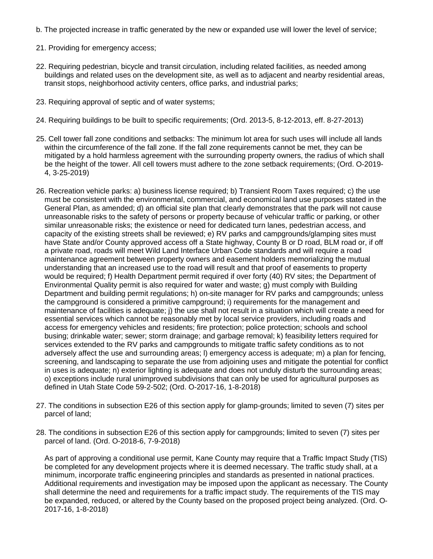- b. The projected increase in traffic generated by the new or expanded use will lower the level of service;
- 21. Providing for emergency access;
- 22. Requiring pedestrian, bicycle and transit circulation, including related facilities, as needed among buildings and related uses on the development site, as well as to adjacent and nearby residential areas, transit stops, neighborhood activity centers, office parks, and industrial parks;
- 23. Requiring approval of septic and of water systems;
- 24. Requiring buildings to be built to specific requirements; (Ord. 2013-5, 8-12-2013, eff. 8-27-2013)
- 25. Cell tower fall zone conditions and setbacks: The minimum lot area for such uses will include all lands within the circumference of the fall zone. If the fall zone requirements cannot be met, they can be mitigated by a hold harmless agreement with the surrounding property owners, the radius of which shall be the height of the tower. All cell towers must adhere to the zone setback requirements; (Ord. O-2019- 4, 3-25-2019)
- 26. Recreation vehicle parks: a) business license required; b) Transient Room Taxes required; c) the use must be consistent with the environmental, commercial, and economical land use purposes stated in the General Plan, as amended; d) an official site plan that clearly demonstrates that the park will not cause unreasonable risks to the safety of persons or property because of vehicular traffic or parking, or other similar unreasonable risks; the existence or need for dedicated turn lanes, pedestrian access, and capacity of the existing streets shall be reviewed; e) RV parks and campgrounds/glamping sites must have State and/or County approved access off a State highway, County B or D road, BLM road or, if off a private road, roads will meet Wild Land Interface Urban Code standards and will require a road maintenance agreement between property owners and easement holders memorializing the mutual understanding that an increased use to the road will result and that proof of easements to property would be required; f) Health Department permit required if over forty (40) RV sites; the Department of Environmental Quality permit is also required for water and waste; g) must comply with Building Department and building permit regulations; h) on-site manager for RV parks and campgrounds; unless the campground is considered a primitive campground; i) requirements for the management and maintenance of facilities is adequate; j) the use shall not result in a situation which will create a need for essential services which cannot be reasonably met by local service providers, including roads and access for emergency vehicles and residents; fire protection; police protection; schools and school busing; drinkable water; sewer; storm drainage; and garbage removal; k) feasibility letters required for services extended to the RV parks and campgrounds to mitigate traffic safety conditions as to not adversely affect the use and surrounding areas; l) emergency access is adequate; m) a plan for fencing, screening, and landscaping to separate the use from adjoining uses and mitigate the potential for conflict in uses is adequate; n) exterior lighting is adequate and does not unduly disturb the surrounding areas; o) exceptions include rural unimproved subdivisions that can only be used for agricultural purposes as defined in Utah State Code 59-2-502; (Ord. O-2017-16, 1-8-2018)
- 27. The conditions in subsection E26 of this section apply for glamp-grounds; limited to seven (7) sites per parcel of land;
- 28. The conditions in subsection E26 of this section apply for campgrounds; limited to seven (7) sites per parcel of land. (Ord. O-2018-6, 7-9-2018)

As part of approving a conditional use permit, Kane County may require that a Traffic Impact Study (TIS) be completed for any development projects where it is deemed necessary. The traffic study shall, at a minimum, incorporate traffic engineering principles and standards as presented in national practices. Additional requirements and investigation may be imposed upon the applicant as necessary. The County shall determine the need and requirements for a traffic impact study. The requirements of the TIS may be expanded, reduced, or altered by the County based on the proposed project being analyzed. (Ord. O-2017-16, 1-8-2018)